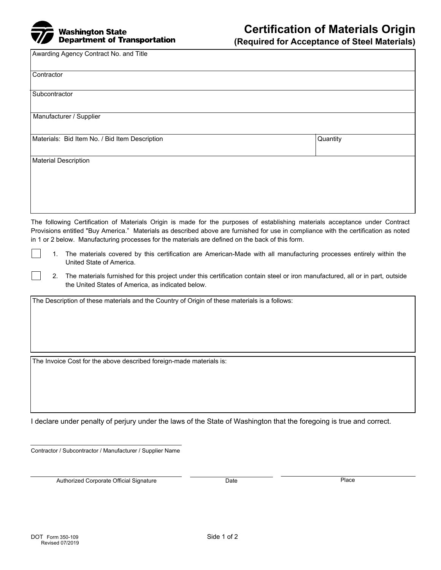

## **Certification of Materials Origin**

**(Required for Acceptance of Steel Materials)**

Awarding Agency Contract No. and Title

| Contractor                                     |          |
|------------------------------------------------|----------|
|                                                |          |
| Subcontractor                                  |          |
|                                                |          |
| Manufacturer / Supplier                        |          |
|                                                |          |
| Materials: Bid Item No. / Bid Item Description | Quantity |
|                                                |          |
| <b>Material Description</b>                    |          |
|                                                |          |
|                                                |          |
|                                                |          |
|                                                |          |
|                                                |          |

The following Certification of Materials Origin is made for the purposes of establishing materials acceptance under Contract Provisions entitled "Buy America." Materials as described above are furnished for use in compliance with the certification as noted in 1 or 2 below. Manufacturing processes for the materials are defined on the back of this form.

1. The materials covered by this certification are American-Made with all manufacturing processes entirely within the United State of America.

2. The materials furnished for this project under this certification contain steel or iron manufactured, all or in part, outside the United States of America, as indicated below.

The Description of these materials and the Country of Origin of these materials is a follows:

The Invoice Cost for the above described foreign-made materials is:

I declare under penalty of perjury under the laws of the State of Washington that the foregoing is true and correct.

Contractor / Subcontractor / Manufacturer / Supplier Name

Authorized Corporate Official Signature **Date Date Date Place Place**